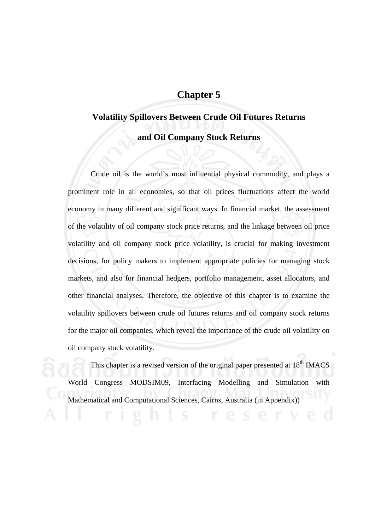# **Chapter 5**

# **Volatility Spillovers Between Crude Oil Futures Returns and Oil Company Stock Returns**

Crude oil is the world's most influential physical commodity, and plays a prominent role in all economies, so that oil prices fluctuations affect the world economy in many different and significant ways. In financial market, the assessment of the volatility of oil company stock price returns, and the linkage between oil price volatility and oil company stock price volatility, is crucial for making investment decisions, for policy makers to implement appropriate policies for managing stock markets, and also for financial hedgers, portfolio management, asset allocators, and other financial analyses. Therefore, the objective of this chapter is to examine the volatility spillovers between crude oil futures returns and oil company stock returns for the major oil companies, which reveal the importance of the crude oil volatility on oil company stock volatility.

This chapter is a revised version of the original paper presented at  $18<sup>th</sup>$  IMACS World Congress MODSIM09, Interfacing Modelling and Simulation with Mathematical and Computational Sciences, Cairns, Australia (in Appendix))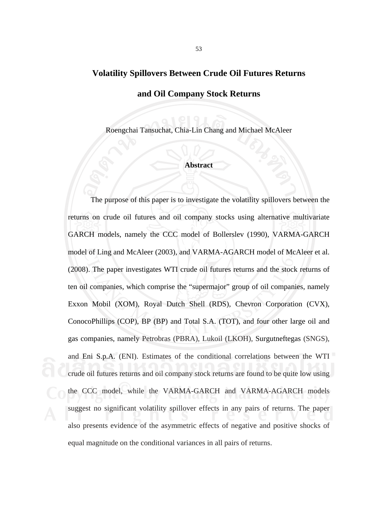### **Volatility Spillovers Between Crude Oil Futures Returns**

### **and Oil Company Stock Returns**

Roengchai Tansuchat, Chia-Lin Chang and Michael McAleer

#### **Abstract**

 The purpose of this paper is to investigate the volatility spillovers between the returns on crude oil futures and oil company stocks using alternative multivariate GARCH models, namely the CCC model of Bollerslev (1990), VARMA-GARCH model of Ling and McAleer (2003), and VARMA-AGARCH model of McAleer et al. (2008). The paper investigates WTI crude oil futures returns and the stock returns of ten oil companies, which comprise the "supermajor" group of oil companies, namely Exxon Mobil (XOM), Royal Dutch Shell (RDS), Chevron Corporation (CVX), ConocoPhillips (COP), BP (BP) and Total S.A. (TOT), and four other large oil and gas companies, namely Petrobras (PBRA), Lukoil (LKOH), Surgutneftegas (SNGS), and Eni S.p.A. (ENI). Estimates of the conditional correlations between the WTI crude oil futures returns and oil company stock returns are found to be quite low using the CCC model, while the VARMA-GARCH and VARMA-AGARCH models suggest no significant volatility spillover effects in any pairs of returns. The paper also presents evidence of the asymmetric effects of negative and positive shocks of equal magnitude on the conditional variances in all pairs of returns.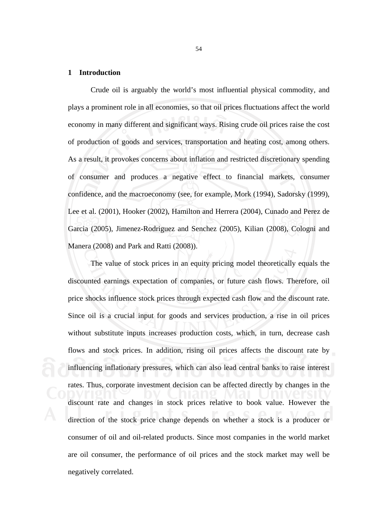### **1 Introduction**

 Crude oil is arguably the world's most influential physical commodity, and plays a prominent role in all economies, so that oil prices fluctuations affect the world economy in many different and significant ways. Rising crude oil prices raise the cost of production of goods and services, transportation and heating cost, among others. As a result, it provokes concerns about inflation and restricted discretionary spending of consumer and produces a negative effect to financial markets, consumer confidence, and the macroeconomy (see, for example, Mork (1994), Sadorsky (1999), Lee et al. (2001), Hooker (2002), Hamilton and Herrera (2004), Cunado and Perez de Garcia (2005), Jimenez-Rodriguez and Senchez (2005), Kilian (2008), Cologni and Manera (2008) and Park and Ratti (2008)).

 The value of stock prices in an equity pricing model theoretically equals the discounted earnings expectation of companies, or future cash flows. Therefore, oil price shocks influence stock prices through expected cash flow and the discount rate. Since oil is a crucial input for goods and services production, a rise in oil prices without substitute inputs increases production costs, which, in turn, decrease cash flows and stock prices. In addition, rising oil prices affects the discount rate by influencing inflationary pressures, which can also lead central banks to raise interest rates. Thus, corporate investment decision can be affected directly by changes in the discount rate and changes in stock prices relative to book value. However the direction of the stock price change depends on whether a stock is a producer or consumer of oil and oil-related products. Since most companies in the world market are oil consumer, the performance of oil prices and the stock market may well be negatively correlated.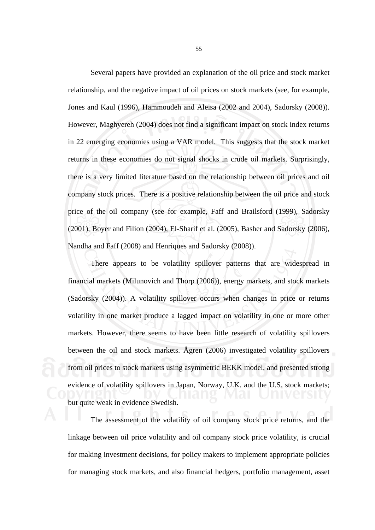Several papers have provided an explanation of the oil price and stock market relationship, and the negative impact of oil prices on stock markets (see, for example, Jones and Kaul (1996), Hammoudeh and Aleisa (2002 and 2004), Sadorsky (2008)). However, Maghyereh (2004) does not find a significant impact on stock index returns in 22 emerging economies using a VAR model. This suggests that the stock market returns in these economies do not signal shocks in crude oil markets. Surprisingly, there is a very limited literature based on the relationship between oil prices and oil company stock prices. There is a positive relationship between the oil price and stock price of the oil company (see for example, Faff and Brailsford (1999), Sadorsky (2001), Boyer and Filion (2004), El-Sharif et al. (2005), Basher and Sadorsky (2006), Nandha and Faff (2008) and Henriques and Sadorsky (2008)).

 There appears to be volatility spillover patterns that are widespread in financial markets (Milunovich and Thorp (2006)), energy markets, and stock markets (Sadorsky (2004)). A volatility spillover occurs when changes in price or returns volatility in one market produce a lagged impact on volatility in one or more other markets. However, there seems to have been little research of volatility spillovers between the oil and stock markets. Ågren (2006) investigated volatility spillovers from oil prices to stock markets using asymmetric BEKK model, and presented strong evidence of volatility spillovers in Japan, Norway, U.K. and the U.S. stock markets; but quite weak in evidence Swedish.

The assessment of the volatility of oil company stock price returns, and the linkage between oil price volatility and oil company stock price volatility, is crucial for making investment decisions, for policy makers to implement appropriate policies for managing stock markets, and also financial hedgers, portfolio management, asset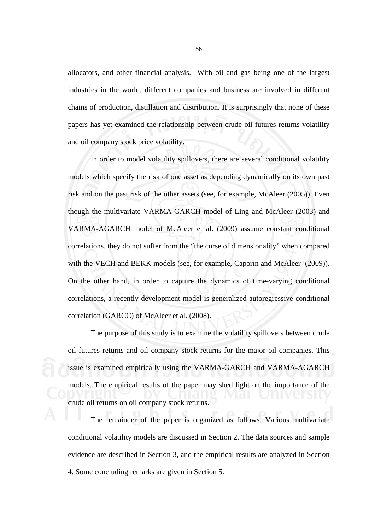allocators, and other financial analysis. With oil and gas being one of the largest industries in the world, different companies and business are involved in different chains of production, distillation and distribution. It is surprisingly that none of these papers has yet examined the relationship between crude oil futures returns volatility and oil company stock price volatility.

In order to model volatility spillovers, there are several conditional volatility models which specify the risk of one asset as depending dynamically on its own past risk and on the past risk of the other assets (see, for example, McAleer (2005)). Even though the multivariate VARMA-GARCH model of Ling and McAleer (2003) and VARMA-AGARCH model of McAleer et al. (2009) assume constant conditional correlations, they do not suffer from the "the curse of dimensionality" when compared with the VECH and BEKK models (see, for example, Caporin and McAleer (2009)). On the other hand, in order to capture the dynamics of time-varying conditional correlations, a recently development model is generalized autoregressive conditional correlation (GARCC) of McAleer et al. (2008).

 The purpose of this study is to examine the volatility spillovers between crude oil futures returns and oil company stock returns for the major oil companies. This issue is examined empirically using the VARMA-GARCH and VARMA-AGARCH models. The empirical results of the paper may shed light on the importance of the crude oil returns on oil company stock returns.

 The remainder of the paper is organized as follows. Various multivariate conditional volatility models are discussed in Section 2. The data sources and sample evidence are described in Section 3, and the empirical results are analyzed in Section 4. Some concluding remarks are given in Section 5.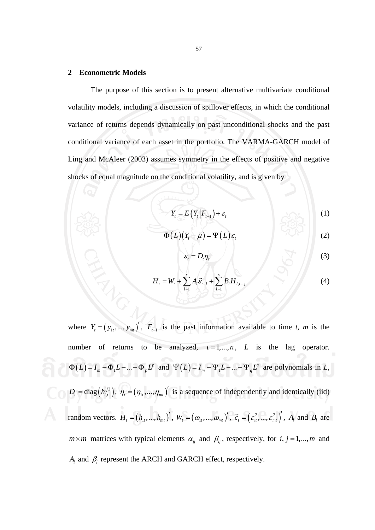### **2 Econometric Models**

 The purpose of this section is to present alternative multivariate conditional volatility models, including a discussion of spillover effects, in which the conditional variance of returns depends dynamically on past unconditional shocks and the past conditional variance of each asset in the portfolio. The VARMA-GARCH model of Ling and McAleer (2003) assumes symmetry in the effects of positive and negative shocks of equal magnitude on the conditional volatility, and is given by

$$
Y_t = E(Y_t | F_{t-1}) + \varepsilon_t \tag{1}
$$

$$
\Phi(L)(Y_t - \mu) = \Psi(L)\varepsilon_t \tag{2}
$$

$$
\varepsilon_t = D_t \eta_t \tag{3}
$$

$$
H_{t} = W_{t} + \sum_{l=1}^{r} A_{l} \vec{\varepsilon}_{t-l} + \sum_{l=1}^{s} B_{l} H_{i,t-j}
$$
(4)

where  $Y_t = (y_{1t},..., y_{mt})'$ ,  $F_{t-1}$  is the past information available to time *t*, *m* is the number of returns to be analyzed,  $t = 1, ..., n$ , *L* is the lag operator.  $\Phi(L) = I_m - \Phi_1 L - \dots - \Phi_p L^p$  and  $\Psi(L) = I_m - \Psi_1 L - \dots - \Psi_q L^q$  are polynomials in *L*,  $D_t = \text{diag}(h_{t,t}^{1/2}), \eta_t = (\eta_{1t}, ..., \eta_{mt})'$  is a sequence of independently and identically (iid) random vectors.  $H_{i} = (h_{i_{1}},..., h_{m_{i}})^{t}$ ,  $W_{i} = (\omega_{i_{1}},...,\omega_{m_{i}})^{t}$ ,  $\vec{\varepsilon}_{i} = (\varepsilon_{i_{1}}^{2},..., \varepsilon_{m_{i}}^{2})^{t}$ ,  $A_{i}$  and  $B_{i}$  are  $m \times m$  matrices with typical elements  $\alpha_{ij}$  and  $\beta_{ij}$ , respectively, for *i*, *j* = 1,..., *m* and *Al* and β*l* represent the ARCH and GARCH effect, respectively.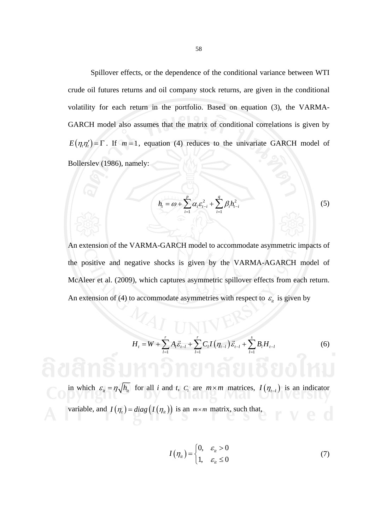Spillover effects, or the dependence of the conditional variance between WTI crude oil futures returns and oil company stock returns, are given in the conditional volatility for each return in the portfolio. Based on equation (3), the VARMA-GARCH model also assumes that the matrix of conditional correlations is given by  $E(\eta_i \eta'_i) = \Gamma$ . If  $m = 1$ , equation (4) reduces to the univariate GARCH model of Bollerslev (1986), namely:

$$
h_{i} = \omega + \sum_{i=1}^{p} \alpha_{i} \varepsilon_{i-i}^{2} + \sum_{i=1}^{q} \beta_{i} h_{i-i}^{2}
$$
 (5)

An extension of the VARMA-GARCH model to accommodate asymmetric impacts of the positive and negative shocks is given by the VARMA-AGARCH model of McAleer et al. (2009), which captures asymmetric spillover effects from each return. An extension of (4) to accommodate asymmetries with respect to  $\varepsilon$ <sub>it</sub> is given by

$$
H_{t} = W + \sum_{l=1}^{r} A_{l} \vec{\varepsilon}_{t-l} + \sum_{l=1}^{r} C_{l} I(\eta_{t-l}) \vec{\varepsilon}_{t-l} + \sum_{l=1}^{s} B_{l} H_{t-l}
$$
(6)

in which  $\varepsilon_{it} = \eta \sqrt{h_{it}}$  for all *i* and *t*, *C<sub>l</sub>* are  $m \times m$  matrices,  $I(\eta_{t-l})$  is an indicator variable, and  $I(\eta_t) = diag(I(\eta_{it}))$  is an  $m \times m$  matrix, such that,

$$
I(\eta_{it}) = \begin{cases} 0, & \varepsilon_{it} > 0 \\ 1, & \varepsilon_{it} \le 0 \end{cases}
$$
 (7)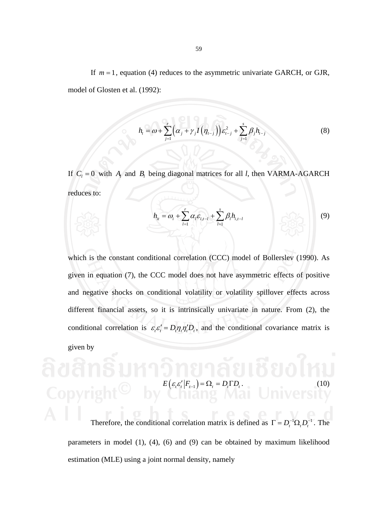If *m* = 1, equation (4) reduces to the asymmetric univariate GARCH, or GJR, model of Glosten et al. (1992):

$$
h_{t} = \omega + \sum_{j=1}^{r} \left( \alpha_{j} + \gamma_{j} I(\eta_{t-j}) \right) \varepsilon_{t-j}^{2} + \sum_{j=1}^{s} \beta_{j} h_{t-j}
$$
(8)

If  $C_l = 0$  with  $A_l$  and  $B_l$  being diagonal matrices for all *l*, then VARMA-AGARCH reduces to:

$$
h_{it} = \omega_i + \sum_{l=1}^r \alpha_l \varepsilon_{i,t-l} + \sum_{l=1}^s \beta_l h_{i,t-l}
$$
 (9)

which is the constant conditional correlation (CCC) model of Bollerslev (1990). As given in equation (7), the CCC model does not have asymmetric effects of positive and negative shocks on conditional volatility or volatility spillover effects across different financial assets, so it is intrinsically univariate in nature. From (2), the conditional correlation is  $\varepsilon_t \varepsilon_t' = D_t \eta_t \eta_t' D_t$ , and the conditional covariance matrix is given by

$$
E\left(\varepsilon_{t}\varepsilon'_{t}|F_{t-1}\right)=\Omega_{t}=D_{t}\Gamma D_{t}.
$$
\n(10)

Therefore, the conditional correlation matrix is defined as  $\Gamma = D_t^{-1} \Omega_t D_t^{-1}$ . The parameters in model (1), (4), (6) and (9) can be obtained by maximum likelihood estimation (MLE) using a joint normal density, namely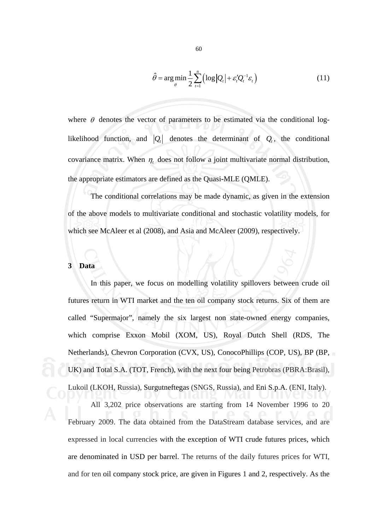$$
\hat{\theta} = \arg\min_{\theta} \frac{1}{2} \sum_{t=1}^{n} \left( \log |Q_t| + \varepsilon'_t Q_t^{-1} \varepsilon_t \right)
$$
(11)

where  $\theta$  denotes the vector of parameters to be estimated via the conditional loglikelihood function, and  $|Q_t|$  denotes the determinant of  $Q_t$ , the conditional covariance matrix. When  $\eta_t$  does not follow a joint multivariate normal distribution, the appropriate estimators are defined as the Quasi-MLE (QMLE).

 The conditional correlations may be made dynamic, as given in the extension of the above models to multivariate conditional and stochastic volatility models, for which see McAleer et al (2008), and Asia and McAleer (2009), respectively.

### **3 Data**

 In this paper, we focus on modelling volatility spillovers between crude oil futures return in WTI market and the ten oil company stock returns. Six of them are called "Supermajor", namely the six largest non state-owned energy companies, which comprise Exxon Mobil (XOM, US), Royal Dutch Shell (RDS, The Netherlands), Chevron Corporation (CVX, US), ConocoPhillips (COP, US), BP (BP, UK) and Total S.A. (TOT, French), with the next four being Petrobras (PBRA:Brasil), Lukoil (LKOH, Russia), Surgutneftegas (SNGS, Russia), and Eni S.p.A. (ENI, Italy).

 All 3,202 price observations are starting from 14 November 1996 to 20 February 2009. The data obtained from the DataStream database services, and are expressed in local currencies with the exception of WTI crude futures prices, which are denominated in USD per barrel. The returns of the daily futures prices for WTI, and for ten oil company stock price, are given in Figures 1 and 2, respectively. As the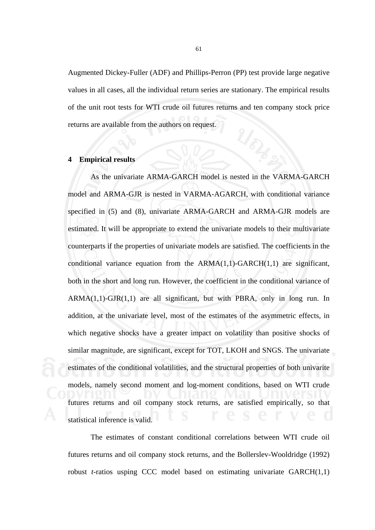Augmented Dickey-Fuller (ADF) and Phillips-Perron (PP) test provide large negative values in all cases, all the individual return series are stationary. The empirical results of the unit root tests for WTI crude oil futures returns and ten company stock price returns are available from the authors on request.

#### **4 Empirical results**

 As the univariate ARMA-GARCH model is nested in the VARMA-GARCH model and ARMA-GJR is nested in VARMA-AGARCH, with conditional variance specified in (5) and (8), univariate ARMA-GARCH and ARMA-GJR models are estimated. It will be appropriate to extend the univariate models to their multivariate counterparts if the properties of univariate models are satisfied. The coefficients in the conditional variance equation from the  $ARMA(1,1)-GARCH(1,1)$  are significant, both in the short and long run. However, the coefficient in the conditional variance of  $ARMA(1,1)-GJR(1,1)$  are all significant, but with PBRA, only in long run. In addition, at the univariate level, most of the estimates of the asymmetric effects, in which negative shocks have a greater impact on volatility than positive shocks of similar magnitude, are significant, except for TOT, LKOH and SNGS. The univariate estimates of the conditional volatilities, and the structural properties of both univarite models, namely second moment and log-moment conditions, based on WTI crude futures returns and oil company stock returns, are satisfied empirically, so that statistical inference is valid.

 The estimates of constant conditional correlations between WTI crude oil futures returns and oil company stock returns, and the Bollerslev-Wooldridge (1992) robust *t*-ratios usping CCC model based on estimating univariate GARCH(1,1)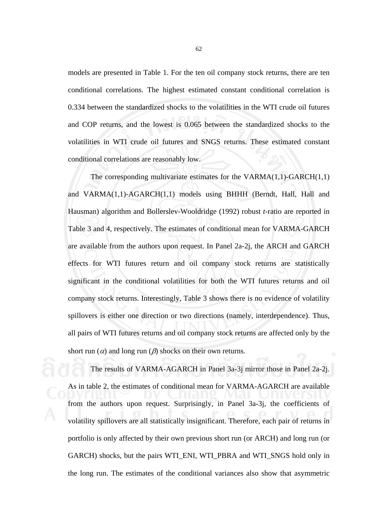models are presented in Table 1. For the ten oil company stock returns, there are ten conditional correlations. The highest estimated constant conditional correlation is 0.334 between the standardized shocks to the volatilities in the WTI crude oil futures and COP returns, and the lowest is 0.065 between the standardized shocks to the volatilities in WTI crude oil futures and SNGS returns. These estimated constant conditional correlations are reasonably low.

 The corresponding multivariate estimates for the VARMA(1,1)-GARCH(1,1) and VARMA(1,1)-AGARCH(1,1) models using BHHH (Berndt, Hall, Hall and Hausman) algorithm and Bollerslev-Wooldridge (1992) robust *t*-ratio are reported in Table 3 and 4, respectively. The estimates of conditional mean for VARMA-GARCH are available from the authors upon request. In Panel 2a-2j, the ARCH and GARCH effects for WTI futures return and oil company stock returns are statistically significant in the conditional volatilities for both the WTI futures returns and oil company stock returns. Interestingly, Table 3 shows there is no evidence of volatility spillovers is either one direction or two directions (namely, interdependence). Thus, all pairs of WTI futures returns and oil company stock returns are affected only by the short run  $\alpha$  and long run  $\beta$  shocks on their own returns.

 The results of VARMA-AGARCH in Panel 3a-3j mirror those in Panel 2a-2j. As in table 2, the estimates of conditional mean for VARMA-AGARCH are available from the authors upon request. Surprisingly, in Panel 3a-3j, the coefficients of volatility spillovers are all statistically insignificant. Therefore, each pair of returns in portfolio is only affected by their own previous short run (or ARCH) and long run (or GARCH) shocks, but the pairs WTI\_ENI, WTI\_PBRA and WTI\_SNGS hold only in the long run. The estimates of the conditional variances also show that asymmetric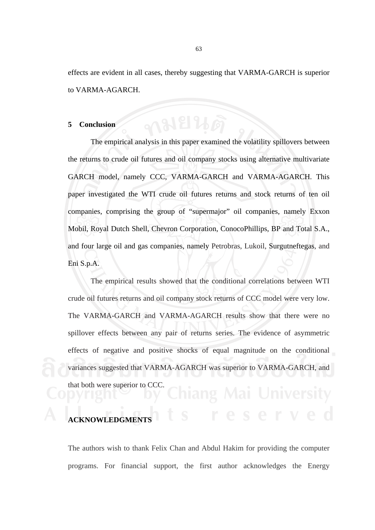effects are evident in all cases, thereby suggesting that VARMA-GARCH is superior to VARMA-AGARCH.

#### **5 Conclusion**

 The empirical analysis in this paper examined the volatility spillovers between the returns to crude oil futures and oil company stocks using alternative multivariate GARCH model, namely CCC, VARMA-GARCH and VARMA-AGARCH. This paper investigated the WTI crude oil futures returns and stock returns of ten oil companies, comprising the group of "supermajor" oil companies, namely Exxon Mobil, Royal Dutch Shell, Chevron Corporation, ConocoPhillips, BP and Total S.A., and four large oil and gas companies, namely Petrobras, Lukoil, Surgutneftegas, and Eni S.p.A.

 The empirical results showed that the conditional correlations between WTI crude oil futures returns and oil company stock returns of CCC model were very low. The VARMA-GARCH and VARMA-AGARCH results show that there were no spillover effects between any pair of returns series. The evidence of asymmetric effects of negative and positive shocks of equal magnitude on the conditional variances suggested that VARMA-AGARCH was superior to VARMA-GARCH, and that both were superior to CCC.

# **ACKNOWLEDGMENT**

The authors wish to thank Felix Chan and Abdul Hakim for providing the computer programs. For financial support, the first author acknowledges the Energy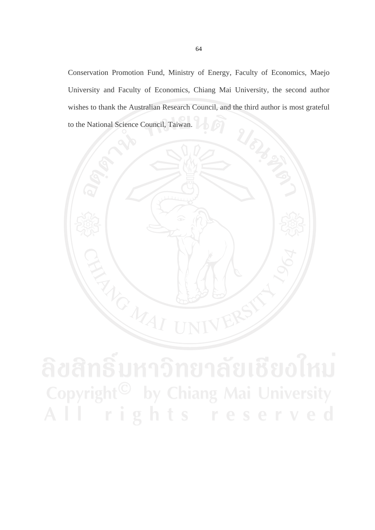Conservation Promotion Fund, Ministry of Energy, Faculty of Economics, Maejo University and Faculty of Economics, Chiang Mai University, the second author wishes to thank the Australian Research Council, and the third author is most grateful to the National Science Council, Taiwan.

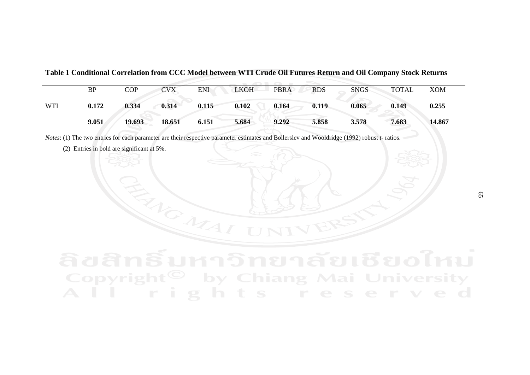|            | <b>BP</b> | <b>COP</b> | <b>CVX</b> | ENI   | LKOH  | <b>PBRA</b> | <b>RDS</b> | <b>SNGS</b> | TOTAL | <b>XOM</b> |
|------------|-----------|------------|------------|-------|-------|-------------|------------|-------------|-------|------------|
| <b>WTI</b> | 0.172     | 0.334      | 0.314      | 0.115 | 0.102 | 0.164       | 0.119      | 0.065       | 0.149 | 0.255      |
|            | 9.051     | 19.693     | 18.651     | 6.151 | 5.684 | 9.292       | 5.858      | 3.578       | 7.683 | 14.867     |

**Table 1 Conditional Correlation from CCC Model between WTI Crude Oil Futures Return and Oil Company Stock Returns** 

*Notes*: (1) The two entries for each parameter are their respective parameter estimates and Bollerslev and Wooldridge (1992) robust *<sup>t</sup>*- ratios.

(2) Entries in bold are significant at 5%.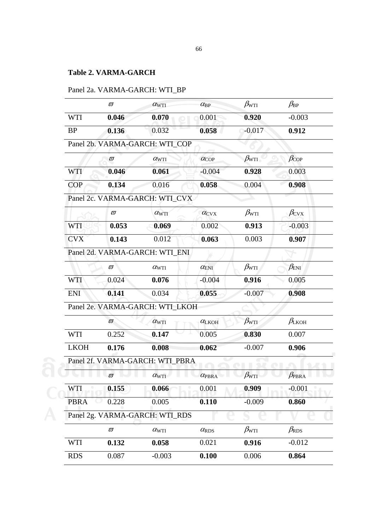## **Table 2. VARMA-GARCH**

|             | $\varpi$      | $\alpha_{\rm WTI}$              | $\alpha_{\rm BP}$        | $\beta_{\rm WTI}$ | $\beta_{\rm BP}$        |
|-------------|---------------|---------------------------------|--------------------------|-------------------|-------------------------|
| <b>WTI</b>  | 0.046         | 0.070                           | 0.001                    | 0.920             | $-0.003$                |
| <b>BP</b>   | 0.136         | 0.032                           | 0.058                    | $-0.017$          | 0.912                   |
|             |               | Panel 2b. VARMA-GARCH: WTI_COP  |                          |                   |                         |
|             | $\varpi$      | $\alpha_{\rm WTI}$              | $\alpha_{\rm COP}$       | $\beta_{\rm WTI}$ | $\beta_{\rm COP}$       |
| <b>WTI</b>  | 0.046         | 0.061                           | $-0.004$                 | 0.928             | 0.003                   |
| <b>COP</b>  | 0.134         | 0.016                           | 0.058                    | 0.004             | 0.908                   |
|             |               | Panel 2c. VARMA-GARCH: WTI_CVX  |                          |                   |                         |
|             | $\varpi$      | $\alpha_{\rm WTI}$              | $\alpha$ <sub>CVX</sub>  | $\beta_{\rm WTI}$ | $\beta_{\rm CVX}$       |
| <b>WTI</b>  | 0.053         | 0.069                           | 0.002                    | 0.913             | $-0.003$                |
| <b>CVX</b>  | 0.143         | 0.012                           | 0.063                    | 0.003             | 0.907                   |
|             |               | Panel 2d. VARMA-GARCH: WTI ENI  |                          |                   |                         |
|             | $\varpi$      | $\alpha_{\rm WTI}$              | $\alpha_{\rm ENI}$       | $\beta_{\rm WTI}$ | $\beta_{\rm{ENI}}$      |
| <b>WTI</b>  | 0.024         | 0.076                           | $-0.004$                 | 0.916             | 0.005                   |
| <b>ENI</b>  | 0.141         | 0.034                           | 0.055                    | $-0.007$          | 0.908                   |
|             |               | Panel 2e. VARMA-GARCH: WTI_LKOH |                          |                   |                         |
|             | $\varpi$      | $\alpha_{\rm WTI}$              | $\alpha$ LKOH            | $\beta_{\rm WTI}$ | $\beta_{\rm LKOH}$      |
| <b>WTI</b>  | 0.252         | 0.147                           | 0.005                    | 0.830             | 0.007                   |
| <b>LKOH</b> | 0.176         | 0.008                           | 0.062                    | $-0.007$          | 0.906                   |
|             |               | Panel 2f. VARMA-GARCH: WTI PBRA |                          |                   |                         |
| u           | $\varpi$<br>٠ | $\alpha_{\rm WTI}$              | $\alpha_{\mathrm{PBRA}}$ | $\beta_{\rm WTI}$ | $\beta_{\mathrm{PBRA}}$ |
| <b>WTI</b>  | 0.155         | 0.066                           | 0.001                    | 0.909             | $-0.001$                |
| <b>PBRA</b> | 0.228         | 0.005                           | 0.110                    | $-0.009$          | 0.860                   |
|             |               | Panel 2g. VARMA-GARCH: WTI_RDS  |                          |                   |                         |
|             | $\varpi$      | $\alpha_{\rm WTI}$              | $\alpha_{RDS}$           | $\beta_{\rm WTI}$ | $\beta_{RDS}$           |
| <b>WTI</b>  | 0.132         | 0.058                           | 0.021                    | 0.916             | $-0.012$                |
| <b>RDS</b>  | 0.087         | $-0.003$                        | 0.100                    | 0.006             | 0.864                   |

# Panel 2a. VARMA-GARCH: WTI\_BP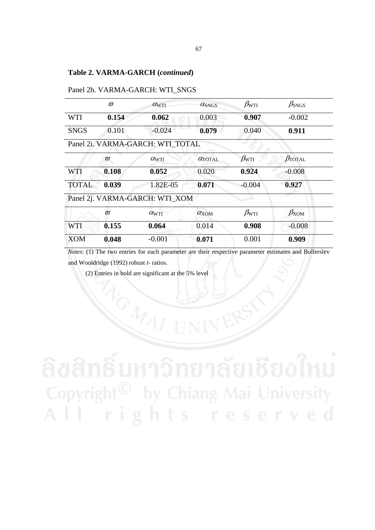### **Table 2. VARMA-GARCH (***continued***)**

|              | $\varpi$ | $\alpha_{\rm WTI}$               | $\alpha_{\text{SNGS}}$ | $\beta_{\rm WTI}$ | $\beta_{\rm SNGS}$   |
|--------------|----------|----------------------------------|------------------------|-------------------|----------------------|
| WTI          | 0.154    | 0.062                            | 0.003                  | 0.907             | $-0.002$             |
| <b>SNGS</b>  | 0.101    | $-0.024$                         | 0.079                  | 0.040             | 0.911                |
|              |          | Panel 2i. VARMA-GARCH: WTI TOTAL |                        |                   |                      |
|              | $\varpi$ | $\alpha_{\rm WTI}$               | $\alpha$ TOTAL         | $\beta_{\rm WTI}$ | $\beta_{\rm TOTAL}$  |
| <b>WTI</b>   | 0.108    | 0.052                            | 0.020                  | 0.924             | $-0.008$             |
| <b>TOTAL</b> | 0.039    | 1.82E-05                         | 0.071                  | $-0.004$          | 0.927                |
|              |          | Panel 2j. VARMA-GARCH: WTI_XOM   |                        |                   |                      |
|              | $\varpi$ | $\alpha_{\rm WTI}$               | $\alpha_{\text{XOM}}$  | $\beta_{\rm WTI}$ | $\beta_{\text{XOM}}$ |
| <b>WTI</b>   | 0.155    | 0.064                            | 0.014                  | 0.908             | $-0.008$             |
| <b>XOM</b>   | 0.048    | $-0.001$                         | 0.071                  | 0.001             | 0.909                |
|              |          |                                  |                        |                   |                      |

#### Panel 2h. VARMA-GARCH: WTI\_SNGS

*Notes*: (1) The two entries for each parameter are their respective parameter estimates and Bollerslev and Wooldridge (1992) robust *t*- ratios.

(2) Entries in bold are significant at the 5% level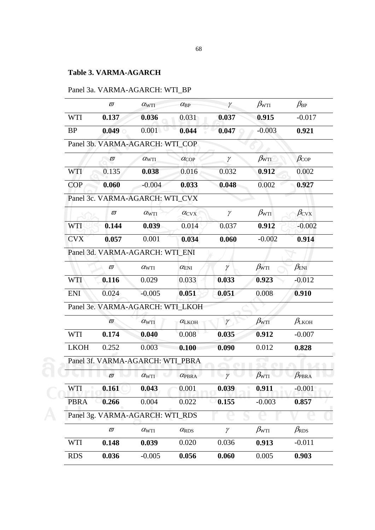# **Table 3. VARMA-AGARCH**

# Panel 3a. VARMA-AGARCH: WTI\_BP

|             | $\varpi$ | $\alpha_{\rm WTI}$               | $\alpha_{\rm BP}$     | $\gamma$ | $\beta_{\rm WTI}$ | $\beta_{\rm BP}$        |
|-------------|----------|----------------------------------|-----------------------|----------|-------------------|-------------------------|
| WTI         | 0.137    | 0.036                            | 0.031                 | 0.037    | 0.915             | $-0.017$                |
| <b>BP</b>   | 0.049    | 0.001                            | 0.044                 | 0.047    | $-0.003$          | 0.921                   |
|             |          | Panel 3b. VARMA-AGARCH: WTI COP  |                       |          |                   |                         |
|             | $\varpi$ | $\alpha_{\rm WTI}$               | $\alpha_{\rm COP}$    | $\gamma$ | $\beta_{\rm WTI}$ | $\beta_{\rm COP}$       |
| <b>WTI</b>  | 0.135    | 0.038                            | 0.016                 | 0.032    | 0.912             | 0.002                   |
| <b>COP</b>  | 0.060    | $-0.004$                         | 0.033                 | 0.048    | 0.002             | 0.927                   |
|             |          | Panel 3c. VARMA-AGARCH: WTI_CVX  |                       |          |                   |                         |
|             | $\varpi$ | $\alpha_{\rm WTI}$               | $\alpha_{\text{CVX}}$ | $\gamma$ | $\beta_{\rm WTI}$ | $\beta_{\rm CVX}$       |
| WTI         | 0.144    | 0.039                            | 0.014                 | 0.037    | 0.912             | $-0.002$                |
| <b>CVX</b>  | 0.057    | 0.001                            | 0.034                 | 0.060    | $-0.002$          | 0.914                   |
|             |          | Panel 3d. VARMA-AGARCH: WTI_ENI  |                       |          |                   |                         |
|             | $\varpi$ | $\alpha_{\rm WTI}$               | $\alpha_{\rm ENI}$    | $\gamma$ | $\beta_{\rm WTI}$ | $\beta_{\text{ENI}}$    |
| <b>WTI</b>  | 0.116    | 0.029                            | 0.033                 | 0.033    | 0.923             | $-0.012$                |
| <b>ENI</b>  | 0.024    | $-0.005$                         | 0.051                 | 0.051    | 0.008             | 0.910                   |
|             |          | Panel 3e. VARMA-AGARCH: WTI_LKOH |                       |          |                   |                         |
|             | $\varpi$ | $\alpha_{\rm WTI}$               | $\alpha$ LKOH         | $\gamma$ | $\beta_{\rm WTI}$ | $\beta_{\rm LKOH}$      |
| <b>WTI</b>  | 0.174    | 0.040                            | 0.008                 | 0.035    | 0.912             | $-0.007$                |
| <b>LKOH</b> | 0.252    | 0.003                            | 0.100                 | 0.090    | 0.012             | 0.828                   |
|             |          | Panel 3f. VARMA-AGARCH: WTI PBRA |                       |          |                   |                         |
|             | $\varpi$ | $\alpha_{\rm WTI}$               | $\alpha$ PBRA         | $\gamma$ | $\beta_{\rm WTI}$ | $\beta_{\mathrm{PBRA}}$ |
| WTI         | 0.161    | 0.043                            | 0.001                 | 0.039    | 0.911             | $-0.001$                |
| <b>PBRA</b> | 0.266    | 0.004                            | 0.022                 | 0.155    | $-0.003$          | 0.857                   |
|             |          | Panel 3g. VARMA-AGARCH: WTI_RDS  |                       |          |                   |                         |
|             | $\varpi$ | $\alpha_{\rm WTI}$               | $\alpha_{\rm RDS}$    | $\gamma$ | $\beta_{\rm WTI}$ | $\beta_{\rm RDS}$       |
| <b>WTI</b>  | 0.148    | 0.039                            | 0.020                 | 0.036    | 0.913             | $-0.011$                |
| <b>RDS</b>  | 0.036    | $-0.005$                         | 0.056                 | 0.060    | 0.005             | 0.903                   |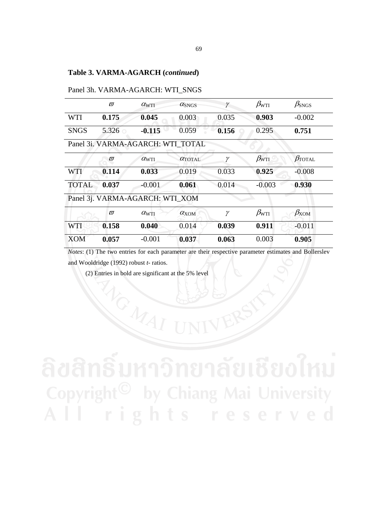|              | $\varpi$ | $\alpha_{\rm WTI}$                | $\alpha_{\rm SNGS}$   | γ     | $\beta_{\rm WTI}$ | $\beta_{\text{SNGS}}$ |
|--------------|----------|-----------------------------------|-----------------------|-------|-------------------|-----------------------|
| WTI          | 0.175    | 0.045                             | 0.003                 | 0.035 | 0.903             | $-0.002$              |
| <b>SNGS</b>  | 5.326    | $-0.115$                          | 0.059                 | 0.156 | 0.295             | 0.751                 |
|              |          | Panel 3i. VARMA-AGARCH: WTI TOTAL |                       |       |                   |                       |
|              | $\varpi$ | $\alpha_{\rm WTI}$                | $\alpha$ TOTAL        | γ     | $\beta_{\rm WTI}$ | $\beta_{\rm TOTAL}$   |
| WTI          | 0.114    | 0.033                             | 0.019                 | 0.033 | 0.925             | $-0.008$              |
| <b>TOTAL</b> | 0.037    | $-0.001$                          | 0.061                 | 0.014 | $-0.003$          | 0.930                 |
|              |          | Panel 3j. VARMA-AGARCH: WTI_XOM   |                       |       |                   |                       |
|              | $\varpi$ | $\alpha_{\rm WTI}$                | $\alpha_{\text{XOM}}$ | γ     | $\beta_{\rm WTI}$ | $\beta_{\text{XOM}}$  |
| WTI          | 0.158    | 0.040                             | 0.014                 | 0.039 | 0.911             | $-0.011$              |
| XOM          | 0.057    | $-0.001$                          | 0.037                 | 0.063 | 0.003             | 0.905                 |

*Notes*: (1) The two entries for each parameter are their respective parameter estimates and Bollerslev and Wooldridge (1992) robust *t*- ratios.

(2) Entries in bold are significant at the 5% level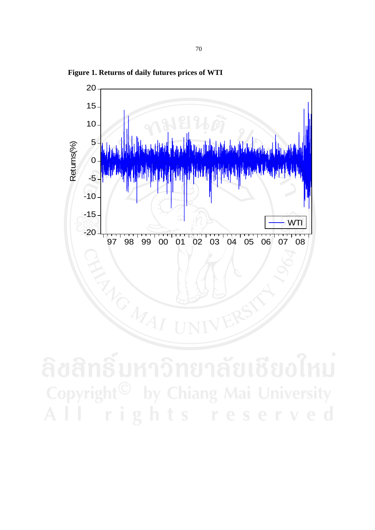

**Figure 1. Returns of daily futures prices of WTI**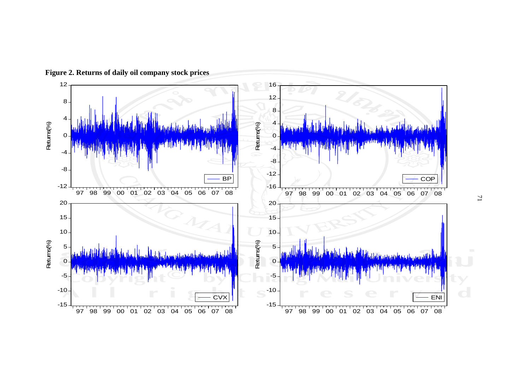

**Figure 2. Returns of daily oil company stock prices**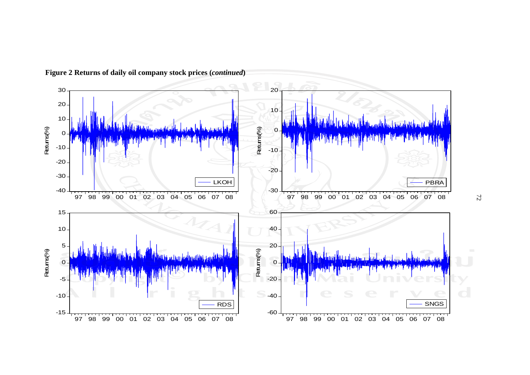

**Figure 2 Returns of daily oil company stock prices (***continued***)**